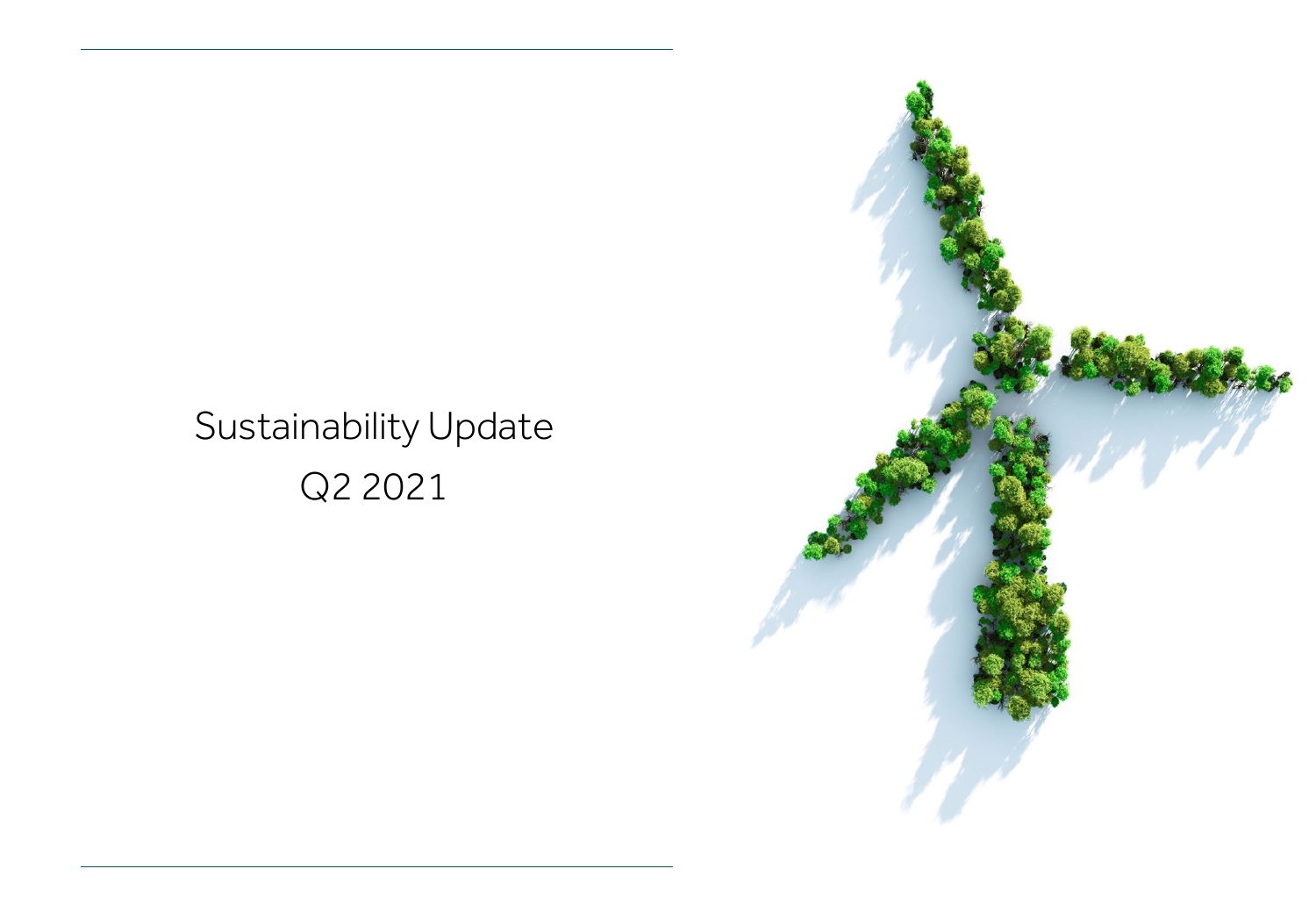# Sustainability Update Q2 2021

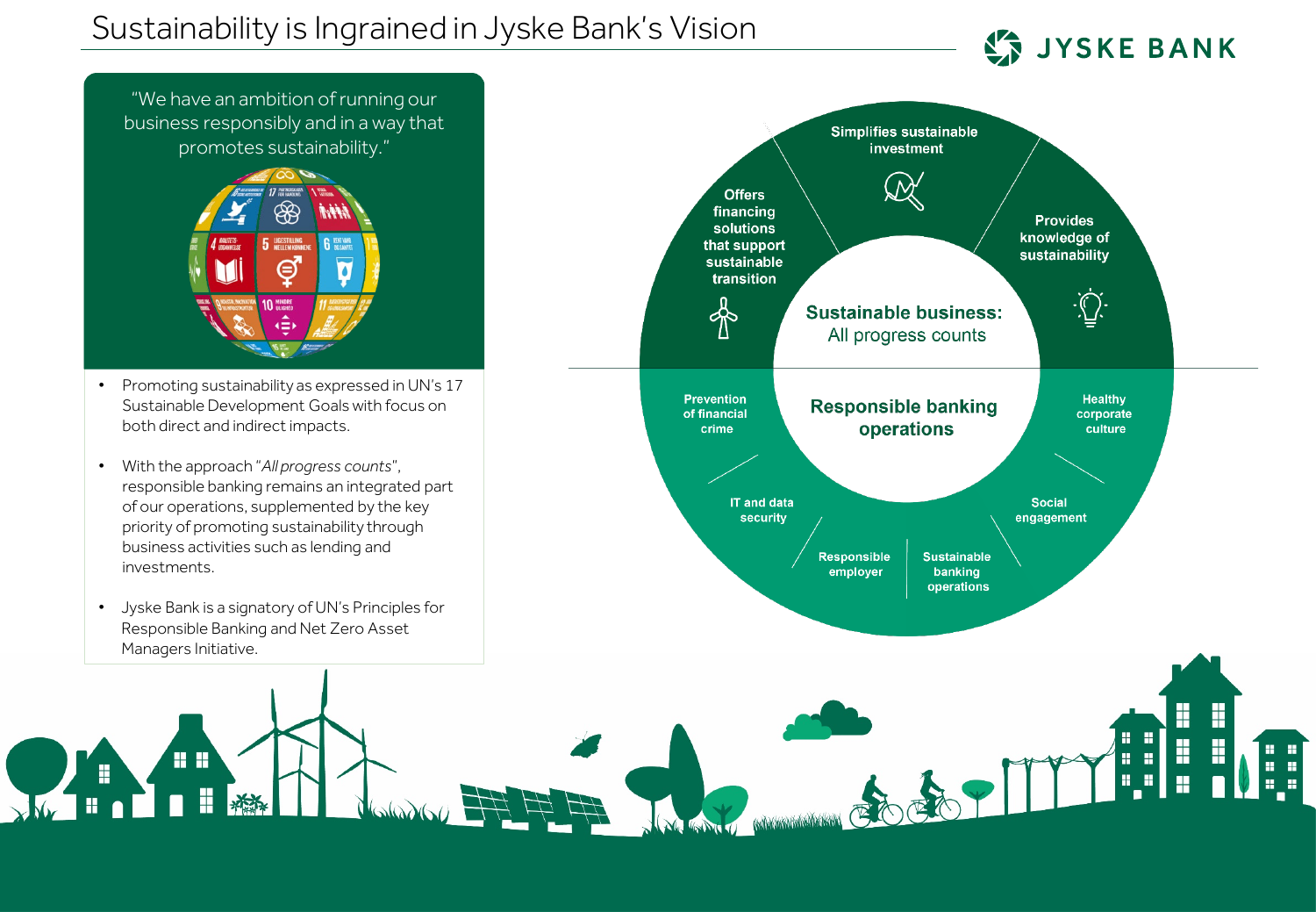**JYSKE BANK** 

×

n.

H.

H

"We have an ambition of running our business responsibly and in a way that promotes sustainability."



- Promoting sustainability as expressed in UN's 17 Sustainable Development Goals with focus on both direct and indirect impacts.
- With the approach "*All progress counts*", responsible banking remains an integrated part of our operations, supplemented by the key priority of promoting sustainability through business activities such as lending and investments.
- Jyske Bank is a signatory of UN's Principles for Responsible Banking and Net Zero Asset Managers Initiative.

88

H

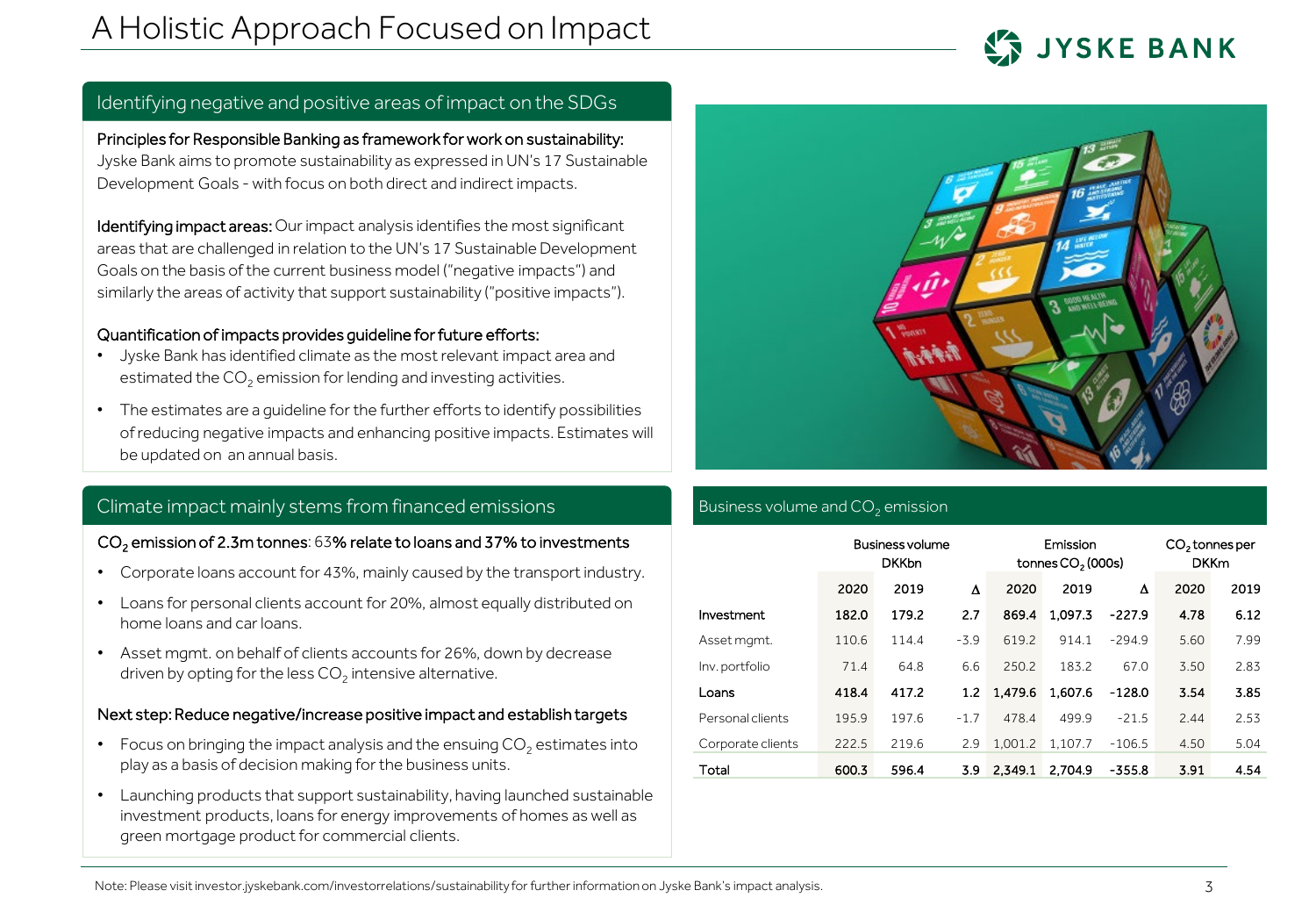

# Identifying negative and positive areas of impact on the SDGs

Principles for Responsible Banking as framework for work on sustainability: Jyske Bank aims to promote sustainability as expressed in UN's 17 Sustainable Development Goals - with focus on both direct and indirect impacts.

Identifying impact areas: Our impact analysis identifies the most significant areas that are challenged in relation to the UN's 17 Sustainable Development Goals on the basis ofthe current business model ("negative impacts") and similarly the areas of activity that support sustainability ("positive impacts").

#### Quantification of impacts provides guideline for future efforts:

- Jyske Bank has identified climate as the most relevant impact area and estimated the  $CO<sub>2</sub>$  emission for lending and investing activities.
- The estimates are a guideline for the further efforts to identify possibilities of reducing negative impacts and enhancing positive impacts. Estimates will be updated on an annual basis.

# Climate impact mainly stems from financed emissions

#### CO<sub>2</sub> emission of 2.3m tonnes: 63% relate to loans and 37% to investments

- Corporate loans account for 43%, mainly caused by the transport industry.
- Loans for personal clients account for 20%, almost equally distributed on home loans and car loans.
- Asset mgmt. on behalf of clients accounts for 26%, down by decrease driven by opting for the less  $CO<sub>2</sub>$  intensive alternative.

#### Next step: Reduce negative/increase positive impact and establish targets

- Focus on bringing the impact analysis and the ensuing  $CO<sub>2</sub>$  estimates into play as a basis of decision making for the business units.
- Launching products that support sustainability, having launched sustainable investment products, loans for energy improvements of homes as well as green mortgage product for commercial clients.



## Business volume and  $CO<sub>2</sub>$  emission

|                   | Business volume<br><b>DKKbn</b> |       |        | Emission<br>tonnes CO <sub>2</sub> (000s) |         |          | CO <sub>2</sub> tonnes per<br><b>DKKm</b> |      |
|-------------------|---------------------------------|-------|--------|-------------------------------------------|---------|----------|-------------------------------------------|------|
|                   | 2020                            | 2019  | Δ      | 2020                                      | 2019    | Δ        | 2020                                      | 2019 |
| Investment        | 182.0                           | 179.2 | 2.7    | 869.4                                     | 1.097.3 | $-227.9$ | 4.78                                      | 6.12 |
| Asset mamt.       | 110.6                           | 114.4 | $-3.9$ | 619.2                                     | 914.1   | $-294.9$ | 5.60                                      | 7.99 |
| Inv. portfolio    | 71.4                            | 64.8  | 6.6    | 250.2                                     | 183.2   | 67.0     | 3.50                                      | 2.83 |
| Loans             | 418.4                           | 417.2 | 1.2    | 1.479.6                                   | 1.607.6 | $-128.0$ | 3.54                                      | 3.85 |
| Personal clients  | 195.9                           | 197.6 | $-1.7$ | 478.4                                     | 499.9   | $-21.5$  | 2.44                                      | 2.53 |
| Corporate clients | 222.5                           | 219.6 | 2.9    | 1.001.2                                   | 1.107.7 | $-106.5$ | 4.50                                      | 5.04 |
| Total             | 600.3                           | 596.4 | 3.9    | 2.349.1                                   | 2.704.9 | $-355.8$ | 3.91                                      | 4.54 |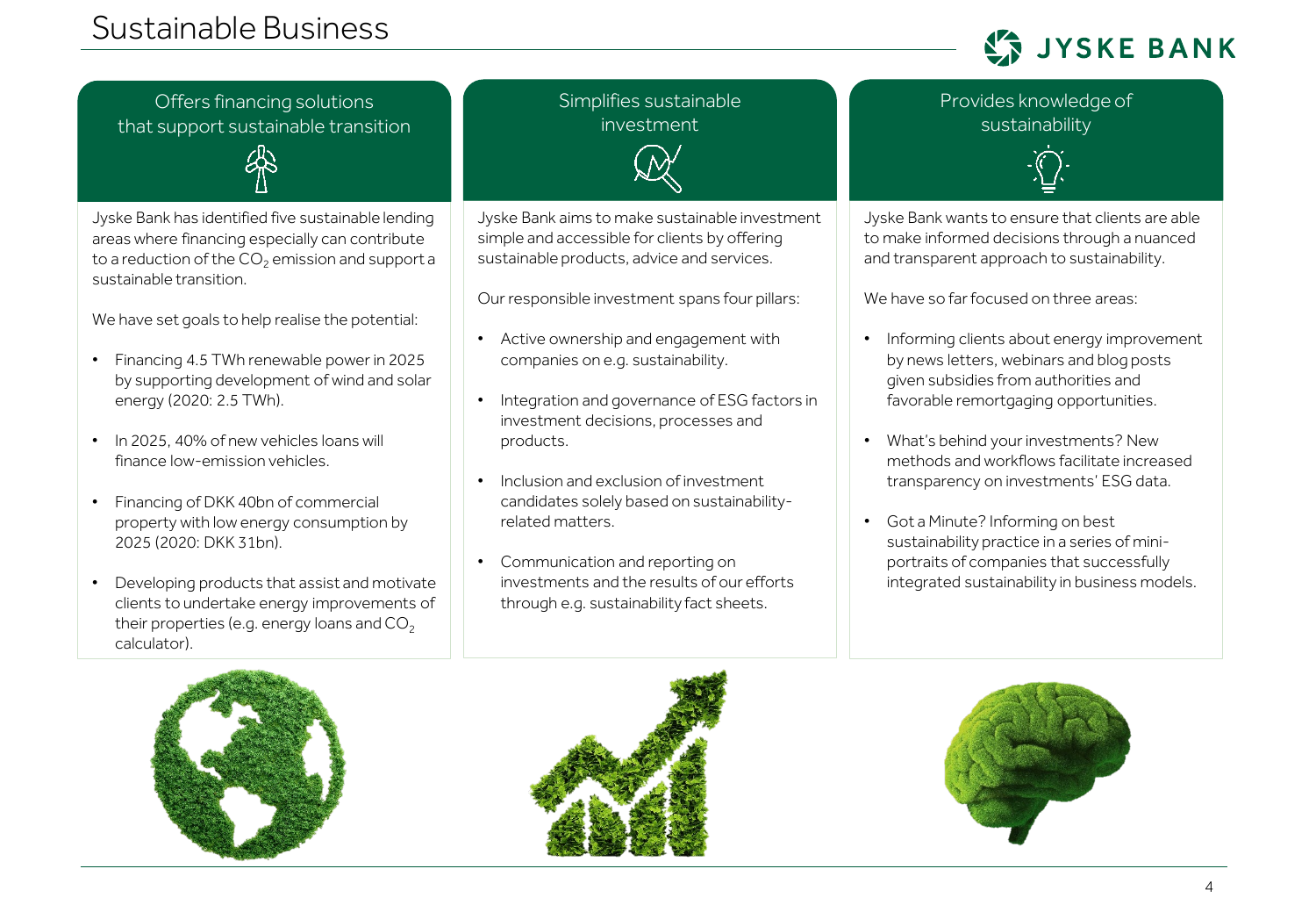# Sustainable Business

**JYSKE BANK** 

Offers financing solutions that support sustainable transition



Jyske Bank has identified five sustainable lending areas where financing especially can contribute to a reduction of the  $CO<sub>2</sub>$  emission and support a sustainable transition.

We have set goals to help realise the potential:

- Financing 4.5 TWh renewable power in 2025 by supporting development of wind and solar energy (2020: 2.5 TWh).
- In 2025, 40% of new vehicles loans will finance low-emission vehicles.
- Financing of DKK 40bn of commercial property with low energy consumption by 2025 (2020: DKK 31bn).
- Developing products that assist and motivate clients to undertake energy improvements of their properties (e.g. energy loans and  $CO<sub>2</sub>$ calculator).

Simplifies sustainable investment



Jyske Bank aims to make sustainable investment simple and accessible for clients by offering sustainable products, advice and services.

Our responsible investment spans four pillars:

- Active ownership and engagement with companies on e.g. sustainability.
- Integration and governance of ESG factors in investment decisions, processes and products.
- Inclusion and exclusion of investment candidates solely based on sustainabilityrelated matters.
- Communication and reporting on investments and the results of our efforts through e.g. sustainability fact sheets.



Provides knowledge of

Jyske Bank wants to ensure that clients are able to make informed decisions through a nuanced and transparent approach to sustainability.

We have so far focused on three areas:

- Informing clients about energy improvement by news letters, webinars and blog posts given subsidies from authorities and favorable remortgaging opportunities.
- What's behind your investments? New methods and workflows facilitate increased transparency on investments' ESG data.
- Got a Minute? Informing on best sustainability practice in a series of miniportraits of companies that successfully integrated sustainability in business models.





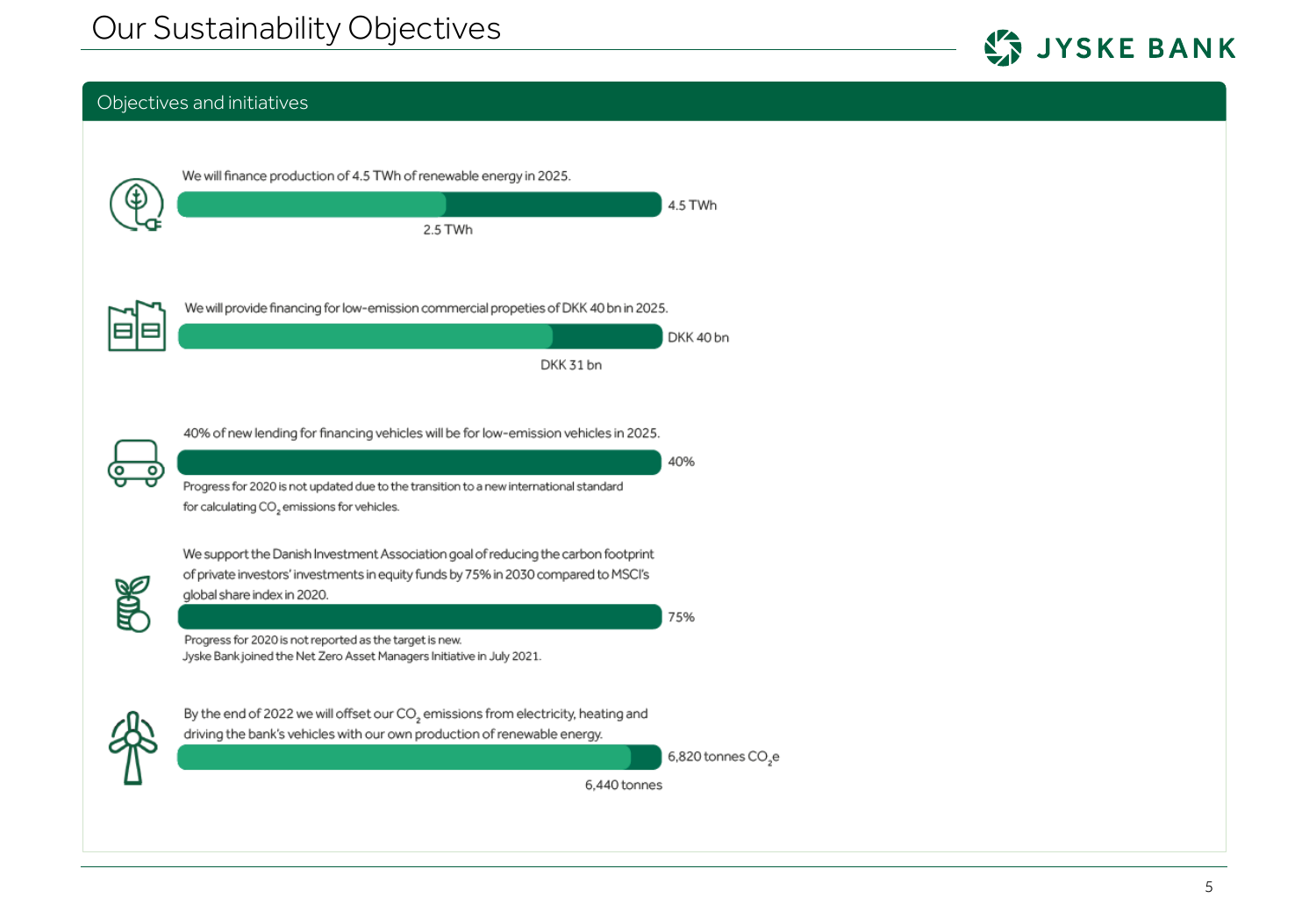

# Objectives and initiatives

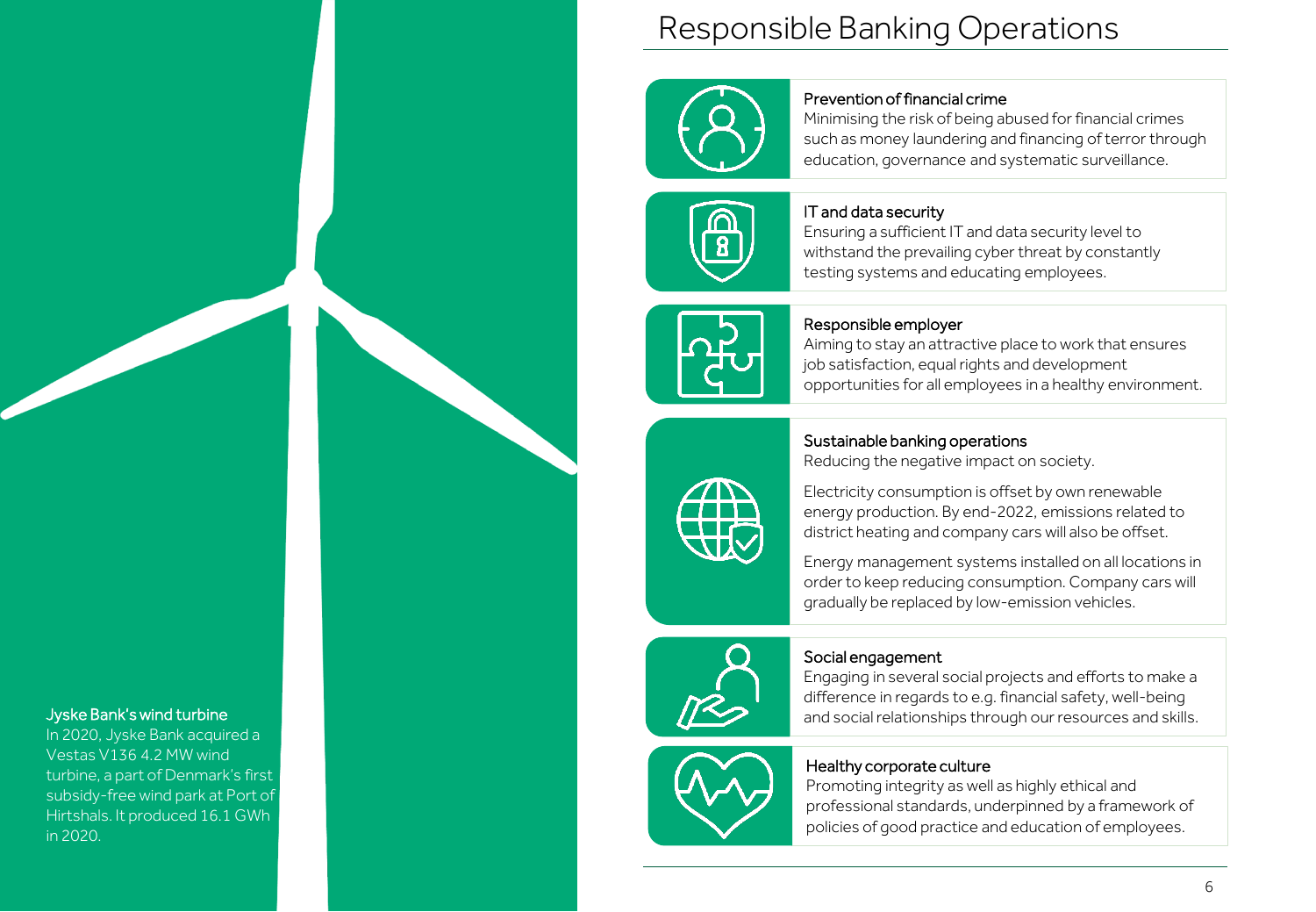#### Jyske Bank'swind turbine

In 2020, Jyske Bank acquired a Vestas V136 4.2 MW wind turbine, a part of Denmark's first subsidy-free wind park at Port of Hirtshals. It produced 16.1 GWh in 2020.

# Responsible Banking Operations



### Prevention of financial crime

Minimising the risk of being abused for financial crimes such as money laundering and financing of terror through education, governance and systematic surveillance.



#### IT and data security

Ensuring a sufficient IT and data security level to withstand the prevailing cyber threat by constantly testing systems and educating employees.



## Responsible employer

Aiming to stay an attractive place to work that ensures job satisfaction, equal rights and development opportunities for all employees in a healthy environment.

# Sustainable banking operations

Reducing the negative impact on society.



Electricity consumption is offset by own renewable energy production. By end-2022, emissions related to district heating and company cars will also be offset.

Energy management systems installed on all locations in order to keep reducing consumption. Company cars will gradually be replaced by low-emission vehicles.



# Social engagement

Engaging in several social projects and efforts to make a difference in regards to e.g. financial safety, well-being and social relationships through our resources and skills.



# Healthy corporate culture

Promoting integrity as well as highly ethical and professional standards, underpinned by a framework of policies of good practice and education of employees.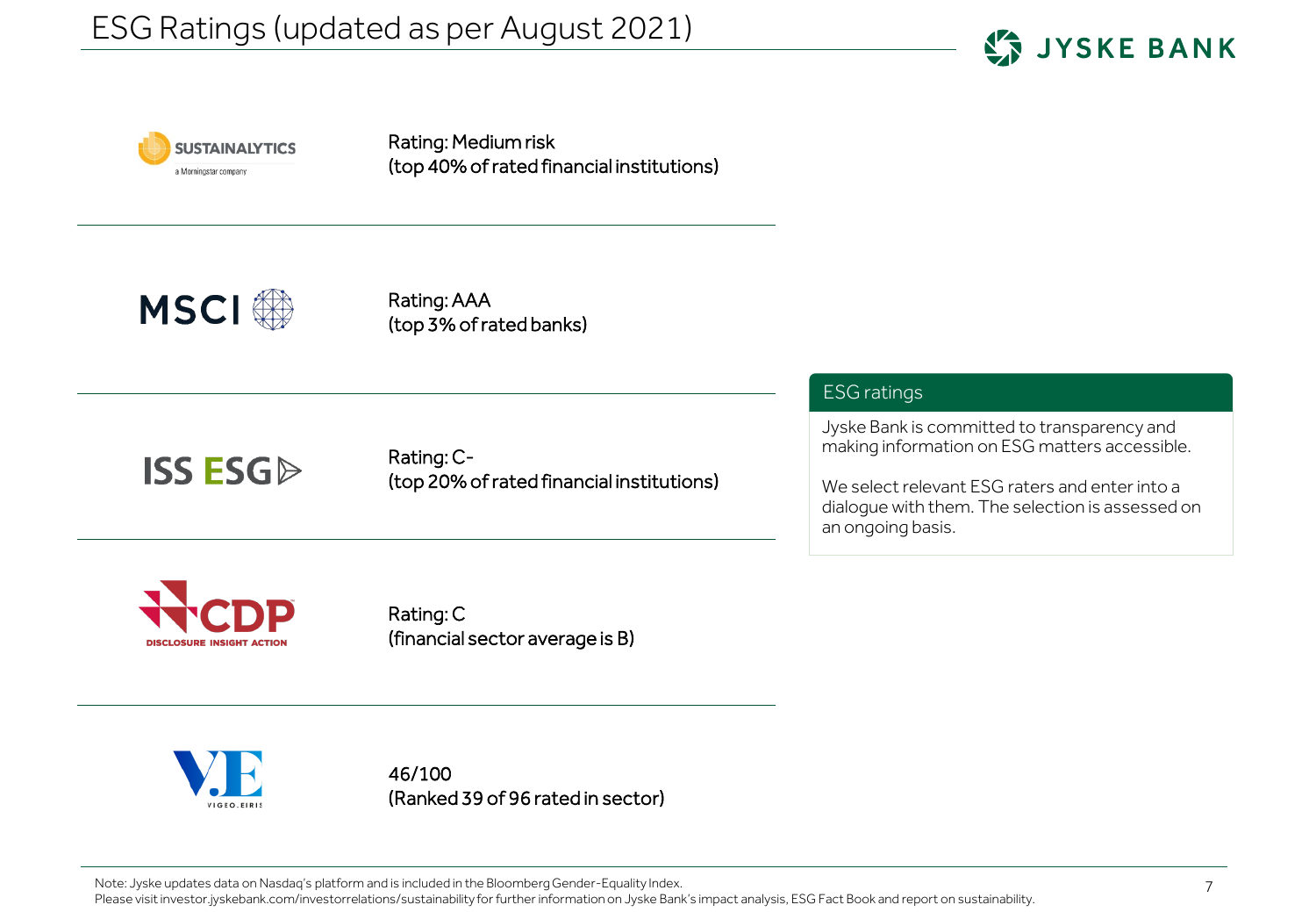



Rating: Medium risk (top 40% of rated financial institutions)



Rating: AAA (top 3% of rated banks)

Rating: C- (top 20% of rated financial institutions)

# ESG ratings

Jyske Bank is committed to transparency and making information on ESG matters accessible.

We select relevant ESG raters and enter into a dialogue with them. The selection is assessed on an ongoing basis.



**ISS ESG** 

Rating: C (financial sector average is B)



46/100 (Ranked 39 of 96 rated in sector)

Note: Jyske updates data on Nasdaq's platform and is included in the Bloomberg Gender-Equality Index.

Please visit investor.jyskebank.com/investorrelations/sustainability for further information on Jyske Bank's impact analysis, ESG Fact Book and report on sustainability.